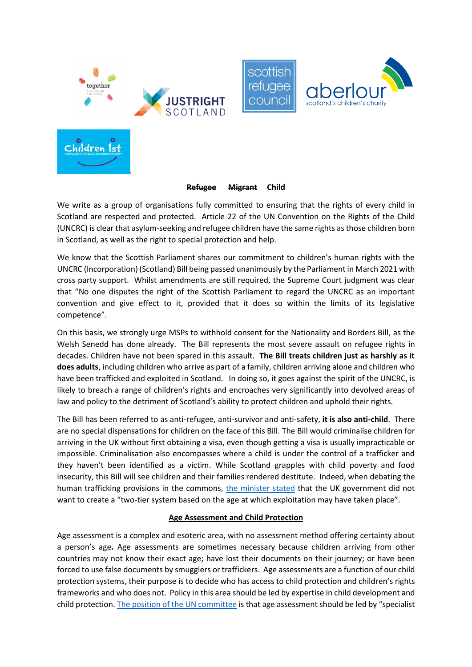



scottish

refuaee

counci

#### **Refugee Migrant Child**

We write as a group of organisations fully committed to ensuring that the rights of every child in Scotland are respected and protected. Article 22 of the UN Convention on the Rights of the Child (UNCRC) is clear that asylum-seeking and refugee children have the same rights as those children born in Scotland, as well as the right to special protection and help.

We know that the Scottish Parliament shares our commitment to children's human rights with the UNCRC (Incorporation) (Scotland) Bill being passed unanimously by the Parliament in March 2021 with cross party support. Whilst amendments are still required, the Supreme Court judgment was clear that "No one disputes the right of the Scottish Parliament to regard the UNCRC as an important convention and give effect to it, provided that it does so within the limits of its legislative competence".

On this basis, we strongly urge MSPs to withhold consent for the Nationality and Borders Bill, as the Welsh Senedd has done already. The Bill represents the most severe assault on refugee rights in decades. Children have not been spared in this assault. **The Bill treats children just as harshly as it does adults**, including children who arrive as part of a family, children arriving alone and children who have been trafficked and exploited in Scotland. In doing so, it goes against the spirit of the UNCRC, is likely to breach a range of children's rights and encroaches very significantly into devolved areas of law and policy to the detriment of Scotland's ability to protect children and uphold their rights.

The Bill has been referred to as anti-refugee, anti-survivor and anti-safety, **it is also anti-child**. There are no special dispensations for children on the face of this Bill. The Bill would criminalise children for arriving in the UK without first obtaining a visa, even though getting a visa is usually impracticable or impossible. Criminalisation also encompasses where a child is under the control of a trafficker and they haven't been identified as a victim. While Scotland grapples with child poverty and food insecurity, this Bill will see children and their families rendered destitute. Indeed, when debating the human trafficking provisions in the commons, [the minister stated](https://hansard.parliament.uk/commons/2021-10-28/debates/66b1e524-3688-4227-86e0-64af2068fee9/NationalityAndBordersBill(TwelfthSitting)) that the UK government did not want to create a "two-tier system based on the age at which exploitation may have taken place".

# **Age Assessment and Child Protection**

Age assessment is a complex and esoteric area, with no assessment method offering certainty about a person's age**.** Age assessments are sometimes necessary because children arriving from other countries may not know their exact age; have lost their documents on their journey; or have been forced to use false documents by smugglers or traffickers. Age assessments are a function of our child protection systems, their purpose is to decide who has access to child protection and children's rights frameworks and who does not. Policy in this area should be led by expertise in child development and child protection[. The position of the UN committee](https://www.refworld.org/docid/5a12942a2b.html) is that age assessment should be led by "specialist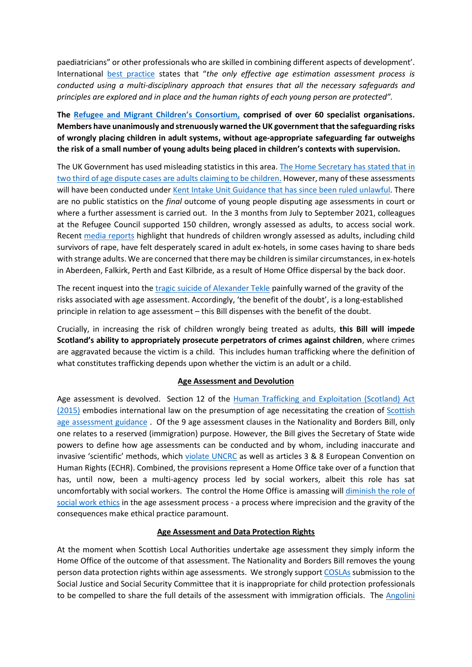paediatricians" or other professionals who are skilled in combining different aspects of development'. International [best practice](https://www.osce.org/files/f/documents/0/4/13967.pdf) states that "*the only effective age estimation assessment process is conducted using a multi-disciplinary approach that ensures that all the necessary safeguards and principles are explored and in place and the human rights of each young person are protected".*

**The Refugee and [Migrant Children's Consortium,](http://refugeechildrensconsortium.org.uk/) comprised of over 60 specialist organisations. Members have unanimously and strenuously warned the UK government that the safeguarding risks of wrongly placing children in adult systems, without age-appropriate safeguarding far outweighs the risk of a small number of young adults being placed in children's contexts with supervision.** 

The UK Government has used misleading statistics in this area. The Home Secretary has stated that in [two third of age dispute cases are adults claiming to be children.](https://www.gov.uk/government/news/home-office-to-introduce-scientific-methods-for-assessing-the-age-of-asylum-seekers) However, many of these assessments will have been conducted under [Kent Intake Unit Guidance that has since been ruled unlawful.](https://www.theguardian.com/world/2022/jan/19/uk-judge-rules-that-age-assessment-of-asylum-seekers-was-unlawful) There are no public statistics on the *final* outcome of young people disputing age assessments in court or where a further assessment is carried out. In the 3 months from July to September 2021, colleagues at the Refugee Council supported 150 children, wrongly assessed as adults, to access social work. Recent [media reports](https://www.independent.co.uk/news/uk/home-news/children-asylum-seekers-age-assessments-home-office-uk-b1992680.html) highlight that hundreds of children wrongly assessed as adults, including child survivors of rape, have felt desperately scared in adult ex-hotels, in some cases having to share beds with strange adults. We are concerned that there may be children is similar circumstances, in ex-hotels in Aberdeen, Falkirk, Perth and East Kilbride, as a result of Home Office dispersal by the back door.

The recent inquest into the [tragic suicide of Alexander Tekle](https://www.theguardian.com/uk-news/2022/jan/07/eritrean-teenager-who-killed-himself-in-uk-lacked-right-support-inquest-finds) painfully warned of the gravity of the risks associated with age assessment. Accordingly, 'the benefit of the doubt', is a long-established principle in relation to age assessment – this Bill dispenses with the benefit of the doubt.

Crucially, in increasing the risk of children wrongly being treated as adults, **this Bill will impede Scotland's ability to appropriately prosecute perpetrators of crimes against children**, where crimes are aggravated because the victim is a child. This includes human trafficking where the definition of what constitutes trafficking depends upon whether the victim is an adult or a child.

#### **Age Assessment and Devolution**

Age assessment is devolved. Section 12 of the [Human Trafficking and Exploitation \(Scotland\) Act](https://www.legislation.gov.uk/asp/2015/12/contents/enacted)  [\(2015\)](https://www.legislation.gov.uk/asp/2015/12/contents/enacted) embodies international law on the presumption of age necessitating the creation of [Scottish](https://www.gov.scot/publications/age-assessment-practice-guidance-scotland-good-practice-guidance-support-social/)  [age assessment guidance](https://www.gov.scot/publications/age-assessment-practice-guidance-scotland-good-practice-guidance-support-social/) . Of the 9 age assessment clauses in the Nationality and Borders Bill, only one relates to a reserved (immigration) purpose. However, the Bill gives the Secretary of State wide powers to define how age assessments can be conducted and by whom, including inaccurate and invasive 'scientific' methods, which [violate UNCRC](https://www.ohchr.org/EN/NewsEvents/Pages/DisplayNews.aspx?NewsID=26375&LangID=E) as well as articles 3 & 8 European Convention on Human Rights (ECHR). Combined, the provisions represent a Home Office take over of a function that has, until now, been a multi-agency process led by social workers, albeit this role has sat uncomfortably with social workers. The control the Home Office is amassing will [diminish the role of](https://www.communitycare.co.uk/2021/11/02/government-age-assessment-changes-would-undermine-social-workers-campaigners-warn/)  [social work ethics](https://www.communitycare.co.uk/2021/11/02/government-age-assessment-changes-would-undermine-social-workers-campaigners-warn/) in the age assessment process - a process where imprecision and the gravity of the consequences make ethical practice paramount.

#### **Age Assessment and Data Protection Rights**

At the moment when Scottish Local Authorities undertake age assessment they simply inform the Home Office of the outcome of that assessment. The Nationality and Borders Bill removes the young person data protection rights within age assessments. We strongly support [COSLAs](https://www.parliament.scot/~/media/committ/2290) submission to the Social Justice and Social Security Committee that it is inappropriate for child protection professionals to be compelled to share the full details of the assessment with immigration officials. The [Angolini](https://www.gov.scot/publications/independent-review-complaints-handling-investigations-misconduct-issues-relation-policing)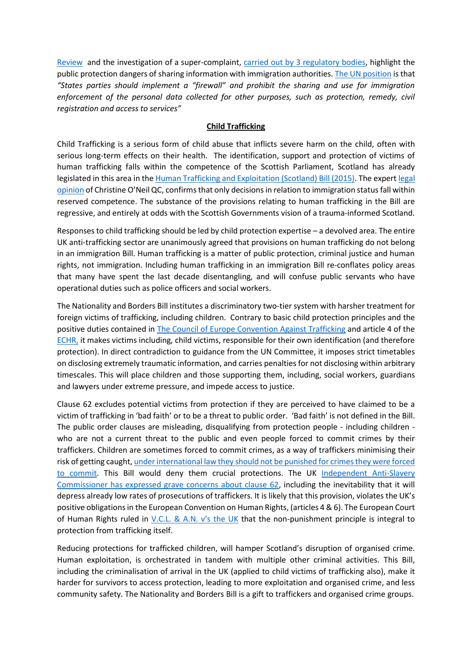[Review](https://www.gov.scot/publications/independent-review-complaints-handling-investigations-misconduct-issues-relation-policing) and the investigation of a super-complaint, [carried out by 3 regulatory bodies,](https://www.gov.scot/publications/independent-review-complaints-handling-investigations-misconduct-issues-relation-policing) highlight the public protection dangers of sharing information with immigration authorities. [The UN position](https://www.right-to-education.org/resource/crc-and-cmw-joint-general-comment-no-3-no-22-general-principles-regarding-human-rights-children#:~:text=This%20joint%20general%20comment%203,in%20contexte%20of%20international%20migration.) is that *"States parties should implement a "firewall" and prohibit the sharing and use for immigration enforcement of the personal data collected for other purposes, such as protection, remedy, civil registration and access to services"*

### **Child Trafficking**

Child Trafficking is a serious form of child abuse that inflicts severe harm on the child, often with serious long-term effects on their health. The identification, support and protection of victims of human trafficking falls within the competence of the Scottish Parliament, Scotland has already legislated in this area in the [Human Trafficking and Exploitation \(Scotland\) Bill \(2015\).](https://www.legislation.gov.uk/asp/2015/12/contents/enacted) The exper[t legal](https://www.justrightscotland.org.uk/wp-content/uploads/2021/11/Legal-Opinion-FINAL.pdf)  [opinion](https://www.justrightscotland.org.uk/wp-content/uploads/2021/11/Legal-Opinion-FINAL.pdf) of Christine O'Neil QC, confirms that only decisionsin relation to immigration statusfall within reserved competence. The substance of the provisions relating to human trafficking in the Bill are regressive, and entirely at odds with the Scottish Governments vision of a trauma-informed Scotland.

Responses to child trafficking should be led by child protection expertise – a devolved area. The entire UK anti-trafficking sector are unanimously agreed that provisions on human trafficking do not belong in an immigration Bill. Human trafficking is a matter of public protection, criminal justice and human rights, not immigration. Including human trafficking in an immigration Bill re-conflates policy areas that many have spent the last decade disentangling, and will confuse public servants who have operational duties such as police officers and social workers.

The Nationality and Borders Bill institutes a discriminatory two-tier system with harsher treatment for foreign victims of trafficking, including children. Contrary to basic child protection principles and the positive duties contained in The Council of [Europe Convention Against Trafficking](https://assets.publishing.service.gov.uk/government/uploads/system/uploads/attachment_data/file/236093/8414.pdf) and article 4 of the [ECHR,](file:///C:/Users/JillianM/Desktop/The%20European%20Convention%20on%20human%20rights) it makes victims including, child victims, responsible for their own identification (and therefore protection). In direct contradiction to guidance from the UN Committee, it imposes strict timetables on disclosing extremely traumatic information, and carries penalties for not disclosing within arbitrary timescales. This will place children and those supporting them, including, social workers, guardians and lawyers under extreme pressure, and impede access to justice.

Clause 62 excludes potential victims from protection if they are perceived to have claimed to be a victim of trafficking in 'bad faith' or to be a threat to public order. 'Bad faith' is not defined in the Bill. The public order clauses are misleading, disqualifying from protection people - including children who are not a current threat to the public and even people forced to commit crimes by their traffickers. Children are sometimes forced to commit crimes, as a way of traffickers minimising their risk of getting caught[, under international law they should not be punished for crimes they were forced](https://reliefweb.int/report/world/implementation-non-punishment-principle-report-special-rapporteur-trafficking-persons-0)  [to commit.](https://reliefweb.int/report/world/implementation-non-punishment-principle-report-special-rapporteur-trafficking-persons-0) This Bill would deny them crucial protections. The UK [Independent Anti-Slavery](https://www.antislaverycommissioner.co.uk/news-insights/dame-sara-comments-on-clause-62-of-the-nationality-and-borders-bill-in-the-times/)  [Commissioner has expressed grave concerns about clause 62,](https://www.antislaverycommissioner.co.uk/news-insights/dame-sara-comments-on-clause-62-of-the-nationality-and-borders-bill-in-the-times/) including the inevitability that it will depress already low rates of prosecutions of traffickers. It is likely that this provision, violates the UK's positive obligations in the European Convention on Human Rights, (articles 4 & 6). The European Court of Human Rights ruled in [V.C.L. & A.N. v's the UK](https://www.kcl.ac.uk/news/kings-professors-landmark-judgement-becomes-final-in-european-court-of-human-rights) that the non-punishment principle is integral to protection from trafficking itself.

Reducing protections for trafficked children, will hamper Scotland's disruption of organised crime. Human exploitation, is orchestrated in tandem with multiple other criminal activities. This Bill, including the criminalisation of arrival in the UK (applied to child victims of trafficking also), make it harder for survivors to access protection, leading to more exploitation and organised crime, and less community safety. The Nationality and Borders Bill is a gift to traffickers and organised crime groups.